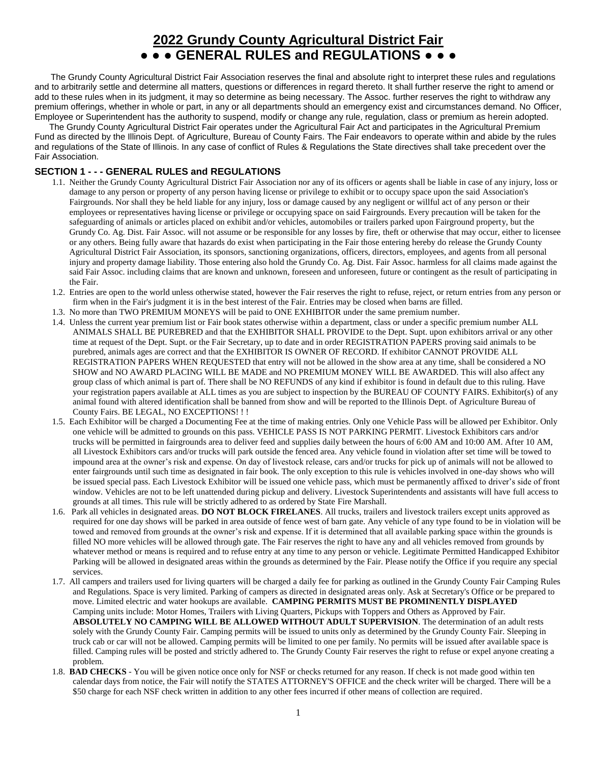# **2022 Grundy County Agricultural District Fair**

**● ● ● GENERAL RULES and REGULATIONS ● ● ●**

 The Grundy County Agricultural District Fair Association reserves the final and absolute right to interpret these rules and regulations and to arbitrarily settle and determine all matters, questions or differences in regard thereto. It shall further reserve the right to amend or add to these rules when in its judgment, it may so determine as being necessary. The Assoc. further reserves the right to withdraw any premium offerings, whether in whole or part, in any or all departments should an emergency exist and circumstances demand. No Officer, Employee or Superintendent has the authority to suspend, modify or change any rule, regulation, class or premium as herein adopted.

 The Grundy County Agricultural District Fair operates under the Agricultural Fair Act and participates in the Agricultural Premium Fund as directed by the Illinois Dept. of Agriculture, Bureau of County Fairs. The Fair endeavors to operate within and abide by the rules and regulations of the State of Illinois. In any case of conflict of Rules & Regulations the State directives shall take precedent over the Fair Association.

## **SECTION 1 - - - GENERAL RULES and REGULATIONS**

- 1.1. Neither the Grundy County Agricultural District Fair Association nor any of its officers or agents shall be liable in case of any injury, loss or damage to any person or property of any person having license or privilege to exhibit or to occupy space upon the said Association's Fairgrounds. Nor shall they be held liable for any injury, loss or damage caused by any negligent or willful act of any person or their employees or representatives having license or privilege or occupying space on said Fairgrounds. Every precaution will be taken for the safeguarding of animals or articles placed on exhibit and/or vehicles, automobiles or trailers parked upon Fairground property, but the Grundy Co. Ag. Dist. Fair Assoc. will not assume or be responsible for any losses by fire, theft or otherwise that may occur, either to licensee or any others. Being fully aware that hazards do exist when participating in the Fair those entering hereby do release the Grundy County Agricultural District Fair Association, its sponsors, sanctioning organizations, officers, directors, employees, and agents from all personal injury and property damage liability. Those entering also hold the Grundy Co. Ag. Dist. Fair Assoc. harmless for all claims made against the said Fair Assoc. including claims that are known and unknown, foreseen and unforeseen, future or contingent as the result of participating in the Fair.
- 1.2. Entries are open to the world unless otherwise stated, however the Fair reserves the right to refuse, reject, or return entries from any person or firm when in the Fair's judgment it is in the best interest of the Fair. Entries may be closed when barns are filled.
- 1.3. No more than TWO PREMIUM MONEYS will be paid to ONE EXHIBITOR under the same premium number.
- 1.4. Unless the current year premium list or Fair book states otherwise within a department, class or under a specific premium number ALL ANIMALS SHALL BE PUREBRED and that the EXHIBITOR SHALL PROVIDE to the Dept. Supt. upon exhibitors arrival or any other time at request of the Dept. Supt. or the Fair Secretary, up to date and in order REGISTRATION PAPERS proving said animals to be purebred, animals ages are correct and that the EXHIBITOR IS OWNER OF RECORD. If exhibitor CANNOT PROVIDE ALL REGISTRATION PAPERS WHEN REQUESTED that entry will not be allowed in the show area at any time, shall be considered a NO SHOW and NO AWARD PLACING WILL BE MADE and NO PREMIUM MONEY WILL BE AWARDED. This will also affect any group class of which animal is part of. There shall be NO REFUNDS of any kind if exhibitor is found in default due to this ruling. Have your registration papers available at ALL times as you are subject to inspection by the BUREAU OF COUNTY FAIRS. Exhibitor(s) of any animal found with altered identification shall be banned from show and will be reported to the Illinois Dept. of Agriculture Bureau of County Fairs. BE LEGAL, NO EXCEPTIONS! ! !
- 1.5. Each Exhibitor will be charged a Documenting Fee at the time of making entries. Only one Vehicle Pass will be allowed per Exhibitor. Only one vehicle will be admitted to grounds on this pass. VEHICLE PASS IS NOT PARKING PERMIT. Livestock Exhibitors cars and/or trucks will be permitted in fairgrounds area to deliver feed and supplies daily between the hours of 6:00 AM and 10:00 AM. After 10 AM, all Livestock Exhibitors cars and/or trucks will park outside the fenced area. Any vehicle found in violation after set time will be towed to impound area at the owner's risk and expense. On day of livestock release, cars and/or trucks for pick up of animals will not be allowed to enter fairgrounds until such time as designated in fair book. The only exception to this rule is vehicles involved in one-day shows who will be issued special pass. Each Livestock Exhibitor will be issued one vehicle pass, which must be permanently affixed to driver's side of front window. Vehicles are not to be left unattended during pickup and delivery. Livestock Superintendents and assistants will have full access to grounds at all times. This rule will be strictly adhered to as ordered by State Fire Marshall.
- 1.6. Park all vehicles in designated areas. **DO NOT BLOCK FIRELANES**. All trucks, trailers and livestock trailers except units approved as required for one day shows will be parked in area outside of fence west of barn gate. Any vehicle of any type found to be in violation will be towed and removed from grounds at the owner's risk and expense. If it is determined that all available parking space within the grounds is filled NO more vehicles will be allowed through gate. The Fair reserves the right to have any and all vehicles removed from grounds by whatever method or means is required and to refuse entry at any time to any person or vehicle. Legitimate Permitted Handicapped Exhibitor Parking will be allowed in designated areas within the grounds as determined by the Fair. Please notify the Office if you require any special services.
- 1.7. All campers and trailers used for living quarters will be charged a daily fee for parking as outlined in the Grundy County Fair Camping Rules and Regulations. Space is very limited. Parking of campers as directed in designated areas only. Ask at Secretary's Office or be prepared to move. Limited electric and water hookups are available. **CAMPING PERMITS MUST BE PROMINENTLY DISPLAYED** Camping units include: Motor Homes, Trailers with Living Quarters, Pickups with Toppers and Others as Approved by Fair. **ABSOLUTELY NO CAMPING WILL BE ALLOWED WITHOUT ADULT SUPERVISION**. The determination of an adult rests solely with the Grundy County Fair. Camping permits will be issued to units only as determined by the Grundy County Fair. Sleeping in truck cab or car will not be allowed. Camping permits will be limited to one per family. No permits will be issued after available space is filled. Camping rules will be posted and strictly adhered to. The Grundy County Fair reserves the right to refuse or expel anyone creating a problem.
- 1.8. **BAD CHECKS** You will be given notice once only for NSF or checks returned for any reason. If check is not made good within ten calendar days from notice, the Fair will notify the STATES ATTORNEY'S OFFICE and the check writer will be charged. There will be a \$50 charge for each NSF check written in addition to any other fees incurred if other means of collection are required.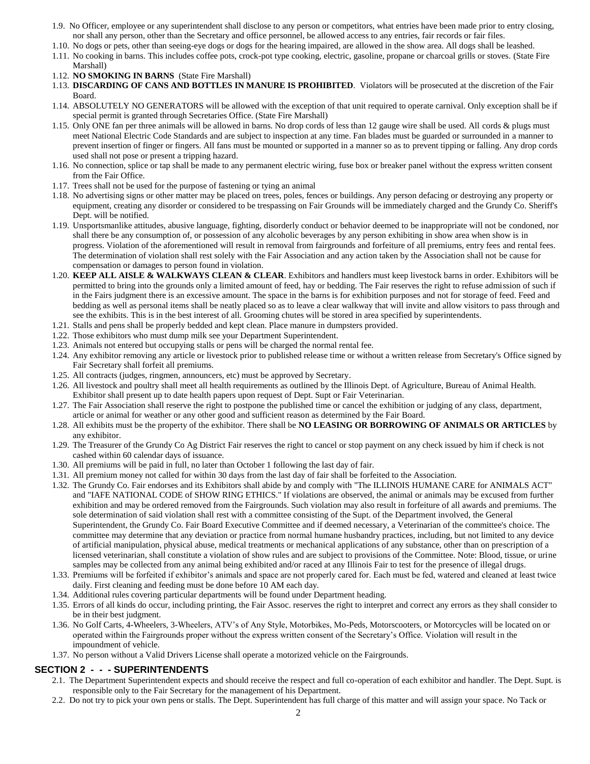- 1.9. No Officer, employee or any superintendent shall disclose to any person or competitors, what entries have been made prior to entry closing, nor shall any person, other than the Secretary and office personnel, be allowed access to any entries, fair records or fair files.
- 1.10. No dogs or pets, other than seeing-eye dogs or dogs for the hearing impaired, are allowed in the show area. All dogs shall be leashed.
- 1.11. No cooking in barns. This includes coffee pots, crock-pot type cooking, electric, gasoline, propane or charcoal grills or stoves. (State Fire Marshall)
- 1.12. **NO SMOKING IN BARNS** (State Fire Marshall)
- 1.13. **DISCARDING OF CANS AND BOTTLES IN MANURE IS PROHIBITED**. Violators will be prosecuted at the discretion of the Fair Board.
- 1.14. ABSOLUTELY NO GENERATORS will be allowed with the exception of that unit required to operate carnival. Only exception shall be if special permit is granted through Secretaries Office. (State Fire Marshall)
- 1.15. Only ONE fan per three animals will be allowed in barns. No drop cords of less than 12 gauge wire shall be used. All cords & plugs must meet National Electric Code Standards and are subject to inspection at any time. Fan blades must be guarded or surrounded in a manner to prevent insertion of finger or fingers. All fans must be mounted or supported in a manner so as to prevent tipping or falling. Any drop cords used shall not pose or present a tripping hazard.
- 1.16. No connection, splice or tap shall be made to any permanent electric wiring, fuse box or breaker panel without the express written consent from the Fair Office.
- 1.17. Trees shall not be used for the purpose of fastening or tying an animal
- 1.18. No advertising signs or other matter may be placed on trees, poles, fences or buildings. Any person defacing or destroying any property or equipment, creating any disorder or considered to be trespassing on Fair Grounds will be immediately charged and the Grundy Co. Sheriff's Dept. will be notified.
- 1.19. Unsportsmanlike attitudes, abusive language, fighting, disorderly conduct or behavior deemed to be inappropriate will not be condoned, nor shall there be any consumption of, or possession of any alcoholic beverages by any person exhibiting in show area when show is in progress. Violation of the aforementioned will result in removal from fairgrounds and forfeiture of all premiums, entry fees and rental fees. The determination of violation shall rest solely with the Fair Association and any action taken by the Association shall not be cause for compensation or damages to person found in violation.
- 1.20. **KEEP ALL AISLE & WALKWAYS CLEAN & CLEAR**. Exhibitors and handlers must keep livestock barns in order. Exhibitors will be permitted to bring into the grounds only a limited amount of feed, hay or bedding. The Fair reserves the right to refuse admission of such if in the Fairs judgment there is an excessive amount. The space in the barns is for exhibition purposes and not for storage of feed. Feed and bedding as well as personal items shall be neatly placed so as to leave a clear walkway that will invite and allow visitors to pass through and see the exhibits. This is in the best interest of all. Grooming chutes will be stored in area specified by superintendents.
- 1.21. Stalls and pens shall be properly bedded and kept clean. Place manure in dumpsters provided.
- 1.22. Those exhibitors who must dump milk see your Department Superintendent.
- 1.23. Animals not entered but occupying stalls or pens will be charged the normal rental fee.
- 1.24. Any exhibitor removing any article or livestock prior to published release time or without a written release from Secretary's Office signed by Fair Secretary shall forfeit all premiums.
- 1.25. All contracts (judges, ringmen, announcers, etc) must be approved by Secretary.
- 1.26. All livestock and poultry shall meet all health requirements as outlined by the Illinois Dept. of Agriculture, Bureau of Animal Health. Exhibitor shall present up to date health papers upon request of Dept. Supt or Fair Veterinarian.
- 1.27. The Fair Association shall reserve the right to postpone the published time or cancel the exhibition or judging of any class, department, article or animal for weather or any other good and sufficient reason as determined by the Fair Board.
- 1.28. All exhibits must be the property of the exhibitor. There shall be **NO LEASING OR BORROWING OF ANIMALS OR ARTICLES** by any exhibitor.
- 1.29. The Treasurer of the Grundy Co Ag District Fair reserves the right to cancel or stop payment on any check issued by him if check is not cashed within 60 calendar days of issuance.
- 1.30. All premiums will be paid in full, no later than October 1 following the last day of fair.
- 1.31. All premium money not called for within 30 days from the last day of fair shall be forfeited to the Association.
- 1.32. The Grundy Co. Fair endorses and its Exhibitors shall abide by and comply with "The ILLINOIS HUMANE CARE for ANIMALS ACT" and "IAFE NATIONAL CODE of SHOW RING ETHICS." If violations are observed, the animal or animals may be excused from further exhibition and may be ordered removed from the Fairgrounds. Such violation may also result in forfeiture of all awards and premiums. The sole determination of said violation shall rest with a committee consisting of the Supt. of the Department involved, the General Superintendent, the Grundy Co. Fair Board Executive Committee and if deemed necessary, a Veterinarian of the committee's choice. The committee may determine that any deviation or practice from normal humane husbandry practices, including, but not limited to any device of artificial manipulation, physical abuse, medical treatments or mechanical applications of any substance, other than on prescription of a licensed veterinarian, shall constitute a violation of show rules and are subject to provisions of the Committee. Note: Blood, tissue, or urine samples may be collected from any animal being exhibited and/or raced at any Illinois Fair to test for the presence of illegal drugs.
- 1.33. Premiums will be forfeited if exhibitor's animals and space are not properly cared for. Each must be fed, watered and cleaned at least twice daily. First cleaning and feeding must be done before 10 AM each day.
- 1.34. Additional rules covering particular departments will be found under Department heading.
- 1.35. Errors of all kinds do occur, including printing, the Fair Assoc. reserves the right to interpret and correct any errors as they shall consider to be in their best judgment.
- 1.36. No Golf Carts, 4-Wheelers, 3-Wheelers, ATV's of Any Style, Motorbikes, Mo-Peds, Motorscooters, or Motorcycles will be located on or operated within the Fairgrounds proper without the express written consent of the Secretary's Office. Violation will result in the impoundment of vehicle.
- 1.37. No person without a Valid Drivers License shall operate a motorized vehicle on the Fairgrounds.

#### **SECTION 2 - - - SUPERINTENDENTS**

- 2.1. The Department Superintendent expects and should receive the respect and full co-operation of each exhibitor and handler. The Dept. Supt. is responsible only to the Fair Secretary for the management of his Department.
- 2.2. Do not try to pick your own pens or stalls. The Dept. Superintendent has full charge of this matter and will assign your space. No Tack or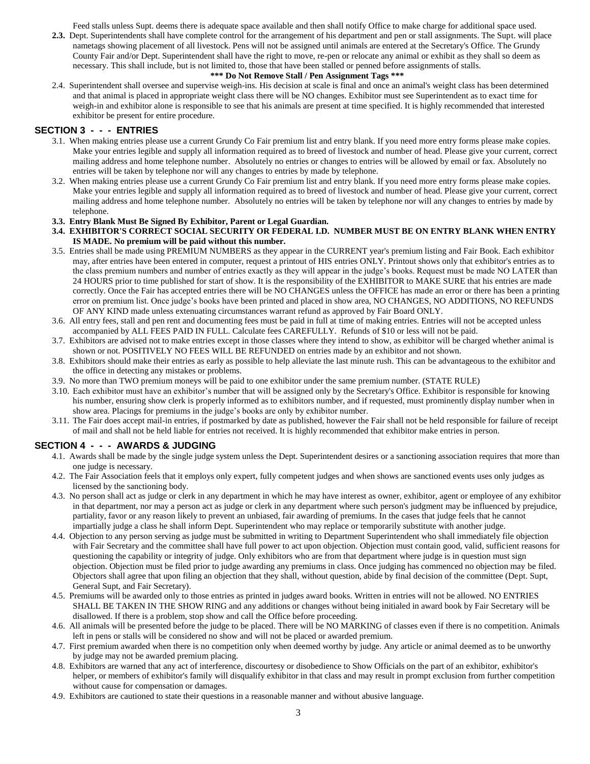Feed stalls unless Supt. deems there is adequate space available and then shall notify Office to make charge for additional space used.

**2.3.** Dept. Superintendents shall have complete control for the arrangement of his department and pen or stall assignments. The Supt. will place nametags showing placement of all livestock. Pens will not be assigned until animals are entered at the Secretary's Office. The Grundy County Fair and/or Dept. Superintendent shall have the right to move, re-pen or relocate any animal or exhibit as they shall so deem as necessary. This shall include, but is not limited to, those that have been stalled or penned before assignments of stalls.

#### **\*\*\* Do Not Remove Stall / Pen Assignment Tags \*\*\***

2.4. Superintendent shall oversee and supervise weigh-ins. His decision at scale is final and once an animal's weight class has been determined and that animal is placed in appropriate weight class there will be NO changes. Exhibitor must see Superintendent as to exact time for weigh-in and exhibitor alone is responsible to see that his animals are present at time specified. It is highly recommended that interested exhibitor be present for entire procedure.

#### **SECTION 3 - - - ENTRIES**

- 3.1. When making entries please use a current Grundy Co Fair premium list and entry blank. If you need more entry forms please make copies. Make your entries legible and supply all information required as to breed of livestock and number of head. Please give your current, correct mailing address and home telephone number. Absolutely no entries or changes to entries will be allowed by email or fax. Absolutely no entries will be taken by telephone nor will any changes to entries by made by telephone.
- 3.2. When making entries please use a current Grundy Co Fair premium list and entry blank. If you need more entry forms please make copies. Make your entries legible and supply all information required as to breed of livestock and number of head. Please give your current, correct mailing address and home telephone number. Absolutely no entries will be taken by telephone nor will any changes to entries by made by telephone.

#### **3.3. Entry Blank Must Be Signed By Exhibitor, Parent or Legal Guardian.**

- **3.4. EXHIBITOR'S CORRECT SOCIAL SECURITY OR FEDERAL I.D. NUMBER MUST BE ON ENTRY BLANK WHEN ENTRY IS MADE. No premium will be paid without this number.**
- 3.5. Entries shall be made using PREMIUM NUMBERS as they appear in the CURRENT year's premium listing and Fair Book. Each exhibitor may, after entries have been entered in computer, request a printout of HIS entries ONLY. Printout shows only that exhibitor's entries as to the class premium numbers and number of entries exactly as they will appear in the judge's books. Request must be made NO LATER than 24 HOURS prior to time published for start of show. It is the responsibility of the EXHIBITOR to MAKE SURE that his entries are made correctly. Once the Fair has accepted entries there will be NO CHANGES unless the OFFICE has made an error or there has been a printing error on premium list. Once judge's books have been printed and placed in show area, NO CHANGES, NO ADDITIONS, NO REFUNDS OF ANY KIND made unless extenuating circumstances warrant refund as approved by Fair Board ONLY.
- 3.6. All entry fees, stall and pen rent and documenting fees must be paid in full at time of making entries. Entries will not be accepted unless accompanied by ALL FEES PAID IN FULL. Calculate fees CAREFULLY. Refunds of \$10 or less will not be paid.
- 3.7. Exhibitors are advised not to make entries except in those classes where they intend to show, as exhibitor will be charged whether animal is shown or not. POSITIVELY NO FEES WILL BE REFUNDED on entries made by an exhibitor and not shown.
- 3.8. Exhibitors should make their entries as early as possible to help alleviate the last minute rush. This can be advantageous to the exhibitor and the office in detecting any mistakes or problems.
- 3.9. No more than TWO premium moneys will be paid to one exhibitor under the same premium number. (STATE RULE)
- 3.10. Each exhibitor must have an exhibitor's number that will be assigned only by the Secretary's Office. Exhibitor is responsible for knowing his number, ensuring show clerk is properly informed as to exhibitors number, and if requested, must prominently display number when in show area. Placings for premiums in the judge's books are only by exhibitor number.
- 3.11. The Fair does accept mail-in entries, if postmarked by date as published, however the Fair shall not be held responsible for failure of receipt of mail and shall not be held liable for entries not received. It is highly recommended that exhibitor make entries in person.

#### **SECTION 4 - - - AWARDS & JUDGING**

- 4.1. Awards shall be made by the single judge system unless the Dept. Superintendent desires or a sanctioning association requires that more than one judge is necessary.
- 4.2. The Fair Association feels that it employs only expert, fully competent judges and when shows are sanctioned events uses only judges as licensed by the sanctioning body.
- 4.3. No person shall act as judge or clerk in any department in which he may have interest as owner, exhibitor, agent or employee of any exhibitor in that department, nor may a person act as judge or clerk in any department where such person's judgment may be influenced by prejudice, partiality, favor or any reason likely to prevent an unbiased, fair awarding of premiums. In the cases that judge feels that he cannot impartially judge a class he shall inform Dept. Superintendent who may replace or temporarily substitute with another judge.
- 4.4. Objection to any person serving as judge must be submitted in writing to Department Superintendent who shall immediately file objection with Fair Secretary and the committee shall have full power to act upon objection. Objection must contain good, valid, sufficient reasons for questioning the capability or integrity of judge. Only exhibitors who are from that department where judge is in question must sign objection. Objection must be filed prior to judge awarding any premiums in class. Once judging has commenced no objection may be filed. Objectors shall agree that upon filing an objection that they shall, without question, abide by final decision of the committee (Dept. Supt, General Supt, and Fair Secretary).
- 4.5. Premiums will be awarded only to those entries as printed in judges award books. Written in entries will not be allowed. NO ENTRIES SHALL BE TAKEN IN THE SHOW RING and any additions or changes without being initialed in award book by Fair Secretary will be disallowed. If there is a problem, stop show and call the Office before proceeding.
- 4.6. All animals will be presented before the judge to be placed. There will be NO MARKING of classes even if there is no competition. Animals left in pens or stalls will be considered no show and will not be placed or awarded premium.
- 4.7. First premium awarded when there is no competition only when deemed worthy by judge. Any article or animal deemed as to be unworthy by judge may not be awarded premium placing.
- 4.8. Exhibitors are warned that any act of interference, discourtesy or disobedience to Show Officials on the part of an exhibitor, exhibitor's helper, or members of exhibitor's family will disqualify exhibitor in that class and may result in prompt exclusion from further competition without cause for compensation or damages.
- 4.9. Exhibitors are cautioned to state their questions in a reasonable manner and without abusive language.